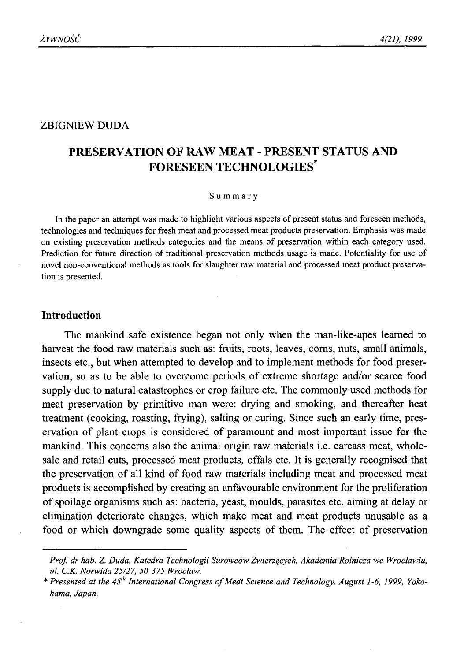### ZBIGNIEW DUDA

# **PRESERVATION OF RAW MEAT - PRESENT STATUS AND FORESEEN TECHNOLOGIES\***

#### **Summary**

**In the paper an attempt was made to highlight various aspects of present status and foreseen methods, technologies and techniques for fresh meat and processed meat products preservation. Emphasis was made** on existing preservation methods categories and the means of preservation within each category used. Prediction for future direction of traditional preservation methods usage is made. Potentiality for use of **novel non-conventional methods as tools for slaughter raw material and processed meat product preservation is presented.**

### **Introduction**

The mankind safe existence began not only when the man-like-apes learned to harvest the food raw materials such as: fruits, roots, leaves, corns, nuts, small animals, insects etc., but when attempted to develop and to implement methods for food preservation, so as to be able to overcome periods of extreme shortage and/or scarce food supply due to natural catastrophes or crop failure etc. The commonly used methods for meat preservation by primitive man were: drying and smoking, and thereafter heat treatment (cooking, roasting, frying), salting or curing. Since such an early time, preservation of plant crops is considered of paramount and most important issue for the mankind. This concerns also the animal origin raw materials i.e. carcass meat, wholesale and retail cuts, processed meat products, offals etc. It is generally recognised that the preservation of all kind of food raw materials including meat and processed meat products is accomplished by creating an unfavourable environment for the proliferation of spoilage organisms such as: bacteria, yeast, moulds, parasites etc. aiming at delay or elimination deteriorate changes, which make meat and meat products unusable as a food or which downgrade some quality aspects of them. The effect of preservation

*Prof. dr hab. Z. Duda, Katedra Technologii Surowców Zwierzęcych, Akademia Rolnicza we Wrocławiu, ul. C.K. Norwida 25/27, 50-375 Wroclaw.*

<sup>\*</sup> Presented at the 45<sup>th</sup> International Congress of Meat Science and Technology. August 1-6, 1999, Yoko*hama, Japan.*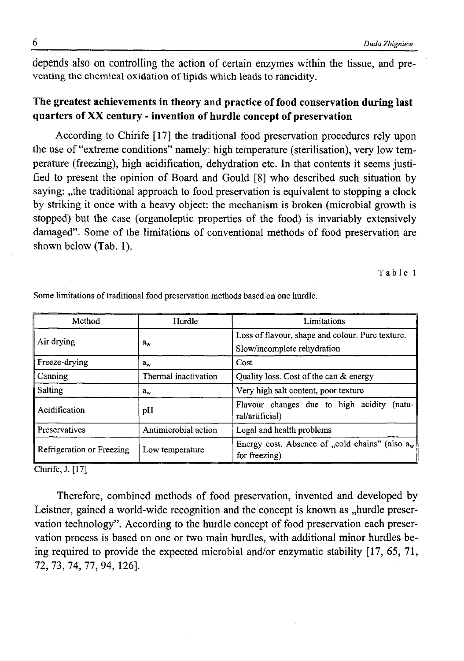depends also on controlling the action of certain enzymes within the tissue, and preventing the chemical oxidation of lipids which leads to rancidity.

## **The greatest achievements in theory and practice of food conservation during last quarters of XX century - invention of hurdle concept of preservation**

According to Chirife [17] the traditional food preservation procedures rely upon the use of "extreme conditions" namely: high temperature (sterilisation), very low temperature (freezing), high acidification, dehydration etc. In that contents it seems justified to present the opinion of Board and Gould [8] who described such situation by saying: "the traditional approach to food preservation is equivalent to stopping a clock by striking it once with a heavy object: the mechanism is broken (microbial growth is stopped) but the case (organoleptic properties of the food) is invariably extensively damaged". Some of the limitations of conventional methods of food preservation are shown below (Tab. 1).

**T a b l e 1**

| Method                    | Hurdle               | Limitations                                                                     |
|---------------------------|----------------------|---------------------------------------------------------------------------------|
| Air drying                | $a_w$                | Loss of flavour, shape and colour. Pure texture.<br>Slow/incomplete rehydration |
| Freeze-drying             | $a_w$                | Cost                                                                            |
| Canning                   | Thermal inactivation | Quality loss. Cost of the can & energy                                          |
| <b>Salting</b>            | $a_{\rm w}$          | Very high salt content, poor texture                                            |
| Acidification             | pH                   | Flavour changes due to high acidity<br>$(natu-$<br>ral/artificial)              |
| Preservatives             | Antimicrobial action | Legal and health problems                                                       |
| Refrigeration or Freezing | Low temperature      | Energy cost. Absence of "cold chains" (also $a_w$<br>for freezing)              |

Some limitations of traditional food preservation methods based on one hurdle.

**Chirife, J. [17]**

Therefore, combined methods of food preservation, invented and developed by Leistner, gained a world-wide recognition and the concept is known as "hurdle preservation technology". According to the hurdle concept of food preservation each preservation process is based on one or two main hurdles, with additional minor hurdles being required to provide the expected microbial and/or enzymatic stability [17, 65, 71, 72, 73, 74, 77, 94, 126].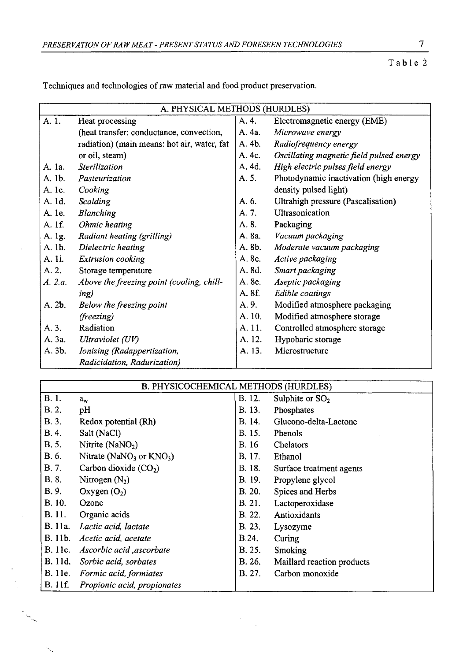Table 2

|                 | A. PHYSICAL METHODS (HURDLES)               |        |                                          |
|-----------------|---------------------------------------------|--------|------------------------------------------|
| A. 1.           | Heat processing                             | A. 4.  | Electromagnetic energy (EME)             |
|                 | (heat transfer: conductance, convection,    | A. 4a. | Microwave energy                         |
|                 | radiation) (main means: hot air, water, fat | A. 4b. | Radiofrequency energy                    |
|                 | or oil, steam)                              | A. 4c. | Oscillating magnetic field pulsed energy |
| A. 1a.          | Sterilization                               | A. 4d. | High electric pulses field energy        |
| A. 1b.          | Pasteurization                              | A. 5.  | Photodynamic inactivation (high energy   |
| A. 1c.          | Cooking                                     |        | density pulsed light)                    |
| A. 1d.          | Scalding                                    | A. 6.  | Ultrahigh pressure (Pascalisation)       |
| A. 1e.          | Blanching                                   | A. 7.  | Ultrasonication                          |
| A. 1f.          | Ohmic heating                               | A. 8.  | Packaging                                |
| A. 1g.          | Radiant heating (grilling)                  | A. 8a. | Vacuum packaging                         |
| A. 1h.          | Dielectric heating                          | A. 8b. | Moderate vacuum packaging                |
| A. li.          | Extrusion cooking                           | A. 8c. | Active packaging                         |
| A. 2.           | Storage temperature                         | A. 8d. | Smart packaging                          |
| A. 2.a.         | Above the freezing point (cooling, chill-   | A. 8e. | Aseptic packaging                        |
|                 | ing)                                        | A. 8f. | <b>Edible</b> coatings                   |
| A. 2 <b>b</b> . | Below the freezing point                    | A. 9.  | Modified atmosphere packaging            |
|                 | (freezing)                                  | A. 10. | Modified atmosphere storage              |
| A. 3.           | Radiation                                   | A. 11. | Controlled atmosphere storage            |
| A. 3a.          | Ultraviolet (UV)                            | A. 12. | Hypobaric storage                        |
| A. 3 <b>b.</b>  | Ionizing (Radappertization,                 | A. 13. | Microstructure                           |
|                 | Radicidation, Radurization)                 |        |                                          |

Techniques and technologies of raw material and food product preservation.

| B. PHYSICOCHEMICAL METHODS (HURDLES) |                                |               |                            |
|--------------------------------------|--------------------------------|---------------|----------------------------|
| B. 1.                                | $a_{\bf w}$                    | B. 12.        | Sulphite or $SO2$          |
| B.2.                                 | pH                             | B. 13.        | Phosphates                 |
| B.3.                                 | Redox potential (Rh)           | B. 14.        | Glucono-delta-Lactone      |
| B.4.                                 | Salt (NaCl)                    | B. 15.        | Phenols                    |
| <b>B.</b> 5.                         | Nitrite (NaNO <sub>2</sub> )   | B. 16         | Chelators                  |
| B. 6.                                | Nitrate ( $NaNO3$ or $KNO3$ )  | B. 17.        | Ethanol                    |
| B. 7.                                | Carbon dioxide $(CO2)$         | B. 18.        | Surface treatment agents   |
| B. 8.                                | Nitrogen $(N_2)$               | <b>B.</b> 19. | Propylene glycol           |
| B. 9.                                | Oxygen(O <sub>2</sub> )        | B. 20.        | Spices and Herbs           |
| B. 10.                               | Ozone                          | B. 21.        | Lactoperoxidase            |
| B. 11.                               | Organic acids                  | <b>B.</b> 22. | Antioxidants               |
| B. 11a.                              | Lactic acid, lactate           | <b>B.</b> 23. | Lysozyme                   |
| B. 11b.                              | Acetic acid, acetate           | B.24.         | Curing                     |
| B. 11c.                              | Ascorbic acid , ascorbate      | <b>B.</b> 25. | <b>Smoking</b>             |
| B. 11d.                              | Sorbic acid, sorbates          | B. 26.        | Maillard reaction products |
|                                      | B. 11e. Formic acid, formiates | B. 27.        | Carbon monoxide            |
| B. 11f.                              | Propionic acid, propionates    |               |                            |

 $\lambda$  $\bar{z}$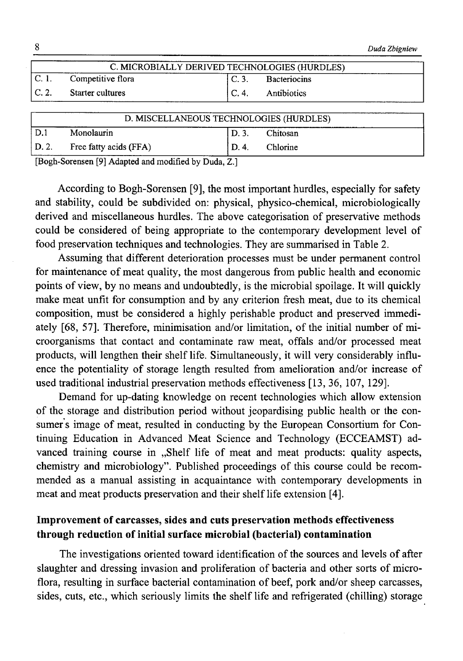|         |                   |                  |                                               | Duda Zbigniew |
|---------|-------------------|------------------|-----------------------------------------------|---------------|
|         |                   |                  | C. MICROBIALLY DERIVED TECHNOLOGIES (HURDLES) |               |
| $C.1$ . | Competitive flora | $\mathsf{IC}.3.$ | <b>Bacteriocins</b>                           |               |
| C.2.    | Starter cultures  |                  | C. 4. Antibiotics                             |               |
|         |                   |                  |                                               |               |

| D. MISCELLANEOUS TECHNOLOGIES (HURDLES) |                        |        |          |
|-----------------------------------------|------------------------|--------|----------|
| D.1                                     | Monolaurin             |        | Chitosan |
| D. 2.                                   | Free fatty acids (FFA) | `D. 4. | Chlorine |

**[Bogh-Sorensen [9] Adapted and modified by Duda, Z.]**

According to Bogh-Sorensen [9], the most important hurdles, especially for safety and stability, could be subdivided on: physical, physico-chemical, microbiologically derived and miscellaneous hurdles. The above categorisation of preservative methods could be considered of being appropriate to the contemporary development level of food preservation techniques and technologies. They are summarised in Table 2.

Assuming that different deterioration processes must be under permanent control for maintenance of meat quality, the most dangerous from public health and economic points of view, by no means and undoubtedly, is the microbial spoilage. It will quickly make meat unfit for consumption and by any criterion fresh meat, due to its chemical composition, must be considered a highly perishable product and preserved immediately [68, 57]. Therefore, minimisation and/or limitation, of the initial number of microorganisms that contact and contaminate raw meat, offals and/or processed meat products, will lengthen their shelf life. Simultaneously, it will very considerably influence the potentiality of storage length resulted from amelioration and/or increase of used traditional industrial preservation methods effectiveness [13, 36, 107, 129].

Demand for up-dating knowledge on recent technologies which allow extension of the storage and distribution period without jeopardising public health or the consumer's image of meat, resulted in conducting by the European Consortium for Continuing Education in Advanced Meat Science and Technology (ECCEAMST) advanced training course in "Shelf life of meat and meat products: quality aspects, chemistry and microbiology". Published proceedings of this course could be recommended as a manual assisting in acquaintance with contemporary developments in meat and meat products preservation and their shelf life extension [4].

## **Improvement of carcasses, sides and cuts preservation methods effectiveness through reduction of initial surface microbial (bacterial) contamination**

The investigations oriented toward identification of the sources and levels of after slaughter and dressing invasion and proliferation of bacteria and other sorts of microflora, resulting in surface bacterial contamination of beef, pork and/or sheep carcasses, sides, cuts, etc., which seriously limits the shelf life and refrigerated (chilling) storage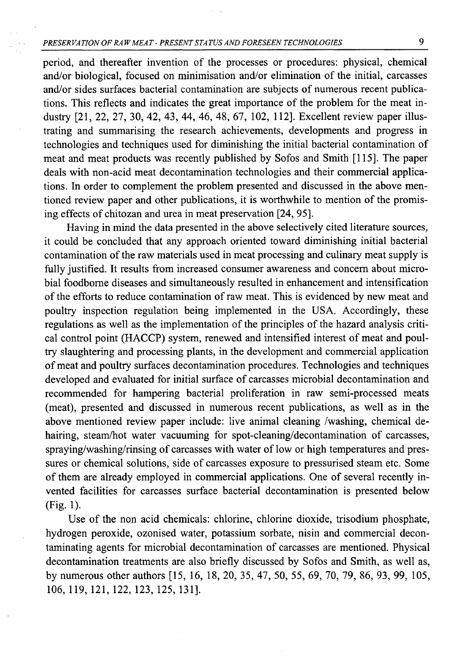period, and thereafter invention of the processes or procedures: physical, chemical and/or biological, focused on minimisation and/or elimination of the initial, carcasses and/or sides surfaces bacterial contamination are subjects of numerous recent publications. This reflects and indicates the great importance of the problem for the meat industry [21, 22, 27, 30, 42, 43, 44, 46, 48, 67, 102, 112]. Excellent review paper illustrating and summarising the research achievements, developments and progress in technologies and techniques used for diminishing the initial bacterial contamination of meat and meat products was recently published by Sofos and Smith [115]. The paper deals with non-acid meat decontamination technologies and their commercial applications. In order to complement the problem presented and discussed in the above mentioned review paper and other publications, it is worthwhile to mention of the promising effects of chitozan and urea in meat preservation [24, 95].

Having in mind the data presented in the above selectively cited literature sources, it could be concluded that any approach oriented toward diminishing initial bacterial contamination of the raw materials used in meat processing and culinary meat supply is fully justified. It results from increased consumer awareness and concern about microbial foodbome diseases and simultaneously resulted in enhancement and intensification of the efforts to reduce contamination of raw meat. This is evidenced by new meat and poultry inspection regulation being implemented in the USA. Accordingly, these regulations as well as the implementation of the principles of the hazard analysis critical control point (HACCP) system, renewed and intensified interest of meat and poultry slaughtering and processing plants, in the development and commercial application of meat and poultry surfaces decontamination procedures. Technologies and techniques developed and evaluated for initial surface of carcasses microbial decontamination and recommended for hampering bacterial proliferation in raw semi-processed meats (meat), presented and discussed in numerous recent publications, as well as in the above mentioned review paper include: live animal cleaning /washing, chemical dehairing, steam/hot water vacuuming for spot-cleaning/decontamination of carcasses, spraying/washing/rinsing of carcasses with water of low or high temperatures and pressures or chemical solutions, side of carcasses exposure to pressurised steam etc. Some of them are already employed in commercial applications. One of several recently invented facilities for carcasses surface bacterial decontamination is presented below (Fig. 1).

Use of the non acid chemicals: chlorine, chlorine dioxide, trisodium phosphate, hydrogen peroxide, ozonised water, potassium sorbate, nisin and commercial decontaminating agents for microbial decontamination of carcasses are mentioned. Physical decontamination treatments are also briefly discussed by Sofos and Smith, as well as, by numerous other authors [15, 16, 18, 20, 35, 47, 50, 55, 69, 70, 79, 86, 93, 99, 105, 106, 119, 121, 122, 123, 125, 131].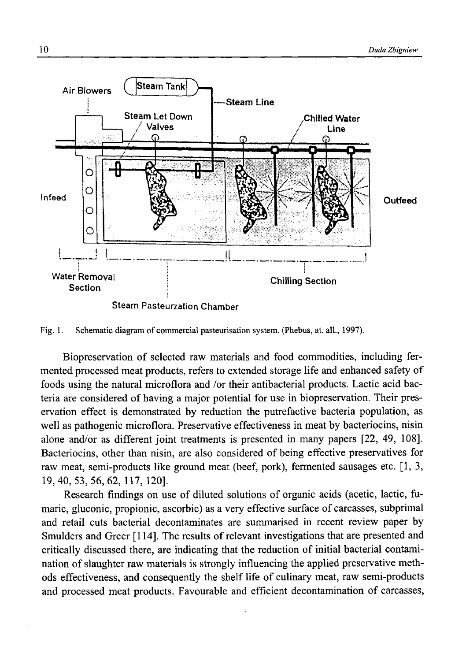

Fig. 1. Schematic diagram of commercial pasteurisation system. (Phebus, at. all., 1997).

Biopreservation of selected raw materials and food commodities, including fermented processed meat products, refers to extended storage life and enhanced safety of foods using the natural microflora and /or their antibacterial products. Lactic acid bacteria are considered of having a major potential for use in biopreservation. Their preservation effect is demonstrated by reduction the putrefactive bacteria population, as well as pathogenic microflora. Preservative effectiveness in meat by bacteriocins, nisin alone and/or as different joint treatments is presented in many papers [22, 49, 108]. Bacteriocins, other than nisin, are also considered of being effective preservatives for raw meat, semi-products like ground meat (beef, pork), fermented sausages etc. [1,3, 19, 40, 53,56, 62, 117, 120].

Research findings on use of diluted solutions of organic acids (acetic, lactic, fumaric, gluconic, propionic, ascorbic) as a very effective surface of carcasses, subprimal and retail cuts bacterial decontaminates are summarised in recent review paper by Smulders and Greer [114]. The results of relevant investigations that are presented and critically discussed there, are indicating that the reduction of initial bacterial contamination of slaughter raw materials is strongly influencing the applied preservative methods effectiveness, and consequently the shelf life of culinary meat, raw semi-products and processed meat products. Favourable and efficient decontamination of carcasses,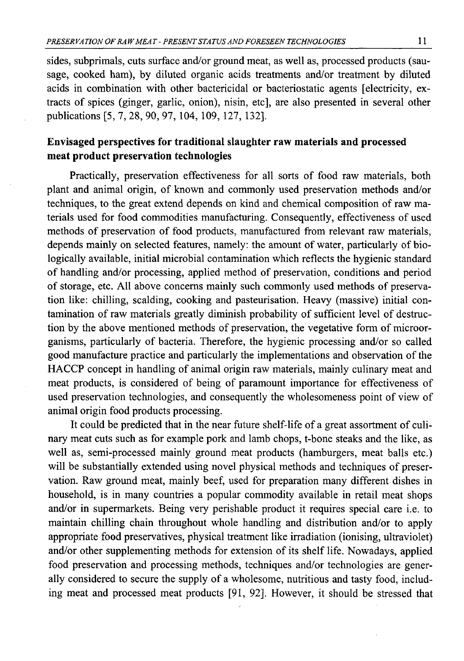sides, subprimals, cuts surface and/or ground meat, as well as, processed products (sausage, cooked ham), by diluted organic acids treatments and/or treatment by diluted acids in combination with other bactericidal or bacteriostatic agents [electricity, extracts of spices (ginger, garlic, onion), nisin, etc], are also presented in several other publications [5, 7, 28, 90, 97, 104, 109, 127, 132].

## **Envisaged perspectives for traditional slaughter raw materials and processed meat product preservation technologies**

Practically, preservation effectiveness for all sorts of food raw materials, both plant and animal origin, of known and commonly used preservation methods and/or techniques, to the great extend depends on kind and chemical composition of raw materials used for food commodities manufacturing. Consequently, effectiveness of used methods of preservation of food products, manufactured from relevant raw materials, depends mainly on selected features, namely: the amount of water, particularly of biologically available, initial microbial contamination which reflects the hygienic standard of handling and/or processing, applied method of preservation, conditions and period of storage, etc. All above concerns mainly such commonly used methods of preservation like: chilling, scalding, cooking and pasteurisation. Heavy (massive) initial contamination of raw materials greatly diminish probability of sufficient level of destruction by the above mentioned methods of preservation, the vegetative form of microorganisms, particularly of bacteria. Therefore, the hygienic processing and/or so called good manufacture practice and particularly the implementations and observation of the HACCP concept in handling of animal origin raw materials, mainly culinary meat and meat products, is considered of being of paramount importance for effectiveness of used preservation technologies, and consequently the wholesomeness point of view of animal origin food products processing.

It could be predicted that in the near future shelf-life of a great assortment of culinary meat cuts such as for example pork and lamb chops, t-bone steaks and the like, as well as, semi-processed mainly ground meat products (hamburgers, meat balls etc.) will be substantially extended using novel physical methods and techniques of preservation. Raw ground meat, mainly beef, used for preparation many different dishes in household, is in many countries a popular commodity available in retail meat shops and/or in supermarkets. Being very perishable product it requires special care i.e. to maintain chilling chain throughout whole handling and distribution and/or to apply appropriate food preservatives, physical treatment like irradiation (ionising, ultraviolet) and/or other supplementing methods for extension of its shelf life. Nowadays, applied food preservation and processing methods, techniques and/or technologies are generally considered to secure the supply of a wholesome, nutritious and tasty food, including meat and processed meat products [91, 92]. However, it should be stressed that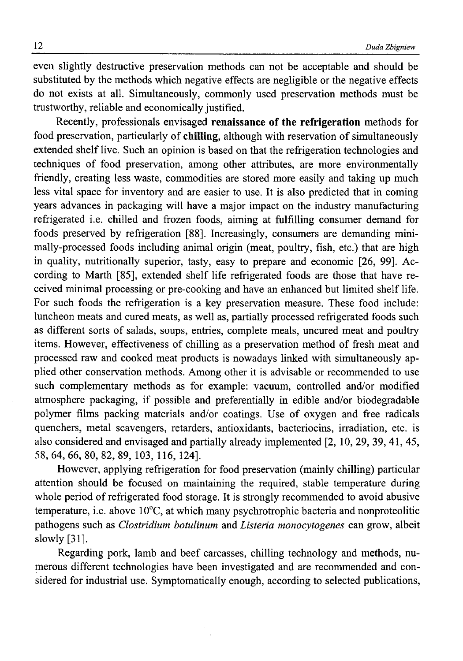even slightly destructive preservation methods can not be acceptable and should be substituted by the methods which negative effects are negligible or the negative effects do not exists at all. Simultaneously, commonly used preservation methods must be trustworthy, reliable and economically justified.

Recently, professionals envisaged **renaissance of the refrigeration** methods for food preservation, particularly of **chilling,** although with reservation of simultaneously extended shelf live. Such an opinion is based on that the refrigeration technologies and techniques of food preservation, among other attributes, are more environmentally friendly, creating less waste, commodities are stored more easily and taking up much less vital space for inventory and are easier to use. It is also predicted that in coming years advances in packaging will have a major impact on the industry manufacturing refrigerated i.e. chilled and frozen foods, aiming at fulfilling consumer demand for foods preserved by refrigeration [88]. Increasingly, consumers are demanding minimally-processed foods including animal origin (meat, poultry, fish, etc.) that are high in quality, nutritionally superior, tasty, easy to prepare and economic [26, 99]. According to Marth [85], extended shelf life refrigerated foods are those that have received minimal processing or pre-cooking and have an enhanced but limited shelf life. For such foods the refrigeration is a key preservation measure. These food include: luncheon meats and cured meats, as well as, partially processed refrigerated foods such as different sorts of salads, soups, entries, complete meals, uncured meat and poultry items. However, effectiveness of chilling as a preservation method of fresh meat and processed raw and cooked meat products is nowadays linked with simultaneously applied other conservation methods. Among other it is advisable or recommended to use such complementary methods as for example: vacuum, controlled and/or modified atmosphere packaging, if possible and preferentially in edible and/or biodegradable polymer films packing materials and/or coatings. Use of oxygen and free radicals quenchers, metal scavengers, retarders, antioxidants, bacteriocins, irradiation, etc. is also considered and envisaged and partially already implemented [2, 10, 29, 39, 41, 45, 58, 64, 66, 80, 82, 89, 103, 116, 124],

However, applying refrigeration for food preservation (mainly chilling) particular attention should be focused on maintaining the required, stable temperature during whole period of refrigerated food storage. It is strongly recommended to avoid abusive temperature, i.e. above 10°C, at which many psychrotrophic bacteria and nonproteolitic pathogens such as *Clostridium botulinum* and *Listeria monocytogenes* can grow, albeit slowly [31].

Regarding pork, lamb and beef carcasses, chilling technology and methods, numerous different technologies have been investigated and are recommended and considered for industrial use. Symptomatically enough, according to selected publications,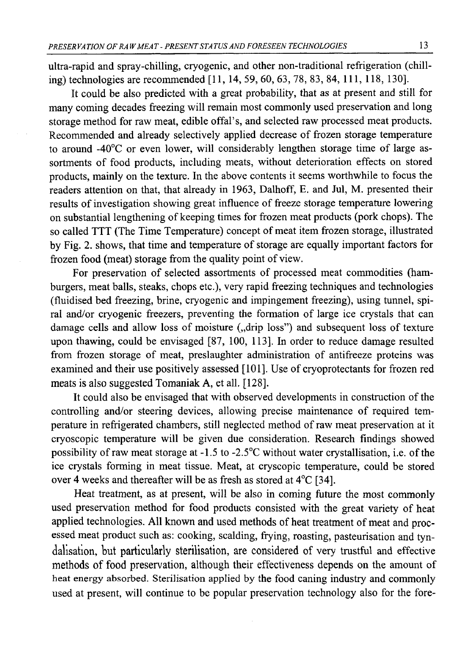ultra-rapid and spray-chilling, cryogenic, and other non-traditional refrigeration (chilling) technologies are recommended [11, 14, 59, 60, 63, 78, 83, 84, 111, 118, 130].

It could be also predicted with a great probability, that as at present and still for many coming decades freezing will remain most commonly used preservation and long storage method for raw meat, edible offal's, and selected raw processed meat products. Recommended and already selectively applied decrease of frozen storage temperature to around -40°C or even lower, will considerably lengthen storage time of large assortments of food products, including meats, without deterioration effects on stored products, mainly on the texture. In the above contents it seems worthwhile to focus the readers attention on that, that already in 1963, Dalhoff, E. and Jul, M. presented their results of investigation showing great influence of freeze storage temperature lowering on substantial lengthening of keeping times for frozen meat products (pork chops). The so called TTT (The Time Temperature) concept of meat item frozen storage, illustrated by Fig. 2. shows, that time and temperature of storage are equally important factors for frozen food (meat) storage from the quality point of view.

For preservation of selected assortments of processed meat commodities (hamburgers, meat balls, steaks, chops etc.), very rapid freezing techniques and technologies (fluidised bed freezing, brine, cryogenic and impingement freezing), using tunnel, spiral and/or cryogenic freezers, preventing the formation of large ice crystals that can damage cells and allow loss of moisture ("drip loss") and subsequent loss of texture upon thawing, could be envisaged [87, 100, 113], In order to reduce damage resulted from frozen storage of meat, preslaughter administration of antifreeze proteins was examined and their use positively assessed [101]. Use of cryoprotectants for frozen red meats is also suggested Tomaniak A, et all. [128].

It could also be envisaged that with observed developments in construction of the controlling and/or steering devices, allowing precise maintenance of required temperature in refrigerated chambers, still neglected method of raw meat preservation at it cryoscopic temperature will be given due consideration. Research findings showed possibility of raw meat storage at -1.5 to -2.5°C without water crystallisation, i.e. of the ice crystals forming in meat tissue. Meat, at cryscopic temperature, could be stored over 4 weeks and thereafter will be as fresh as stored at 4°C [34].

Heat treatment, as at present, will be also in coming future the most commonly used preservation method for food products consisted with the great variety of heat applied technologies. All known and used methods of heat treatment of meat and **proc**essed meat product such as: cooking, scalding, frying, roasting, pasteurisation and tyndalisation, **but particularly sterilisation,** are **considered** of **very** trustful and effective methods of food preservation, although their effectiveness depends on the amount of heat energy absorbed. Sterilisation applied by the food caning industry and commonly used at present, will continue to be popular preservation technology also for the fore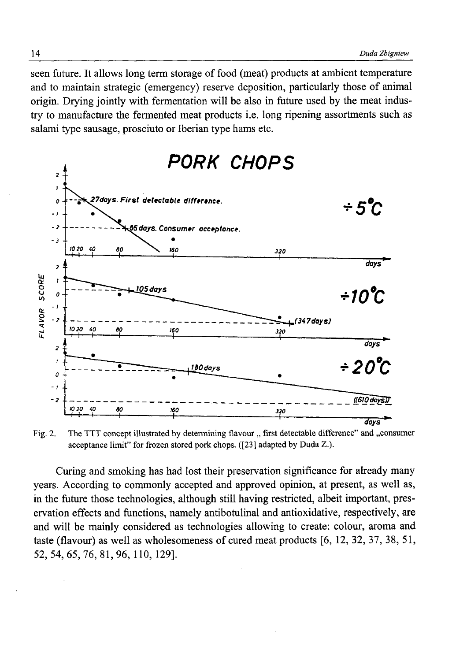seen future. It allows long term storage of food (meat) products at ambient temperature and to maintain strategic (emergency) reserve deposition, particularly those of animal origin. Drying jointly with fermentation will be also in future used by the meat industry to manufacture the fermented meat products i.e. long ripening assortments such as salami type sausage, prosciuto or Iberian type hams etc.



Fig. 2. The TTT concept illustrated by determining flavour " first detectable difference" and "consumer **acceptance limit" for frozen stored pork chops. ([23] adapted by Duda Z.).**

Curing and smoking has had lost their preservation significance for already many years. According to commonly accepted and approved opinion, at present, as well as, in the future those technologies, although still having restricted, albeit important, preservation effects and functions, namely antibotulinal and antioxidative, respectively, are and will be mainly considered as technologies allowing to create: colour, aroma and taste (flavour) as well as wholesomeness of cured meat products [6, 12, 32, 37, 38, 51, 52, 54, 65,76,81,96,110, 129].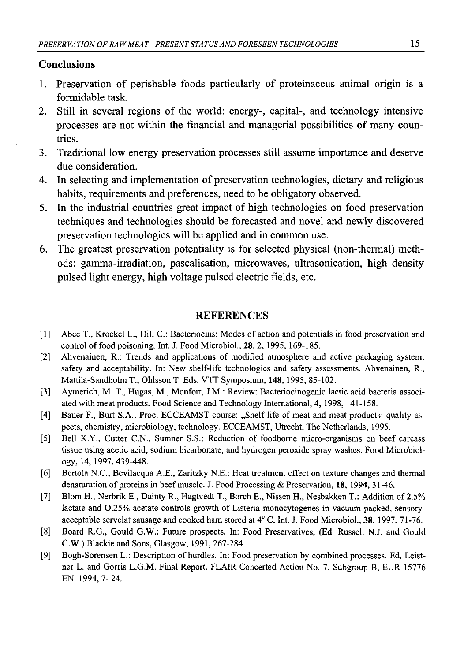## **Conclusions**

- 1. Preservation of perishable foods particularly of proteinaceus animal origin is a formidable task.
- 2. Still in several regions of the world: energy-, capital-, and technology intensive processes are not within the financial and managerial possibilities of many countries.
- 3. Traditional low energy preservation processes still assume importance and deserve due consideration.
- 4. In selecting and implementation of preservation technologies, dietary and religious habits, requirements and preferences, need to be obligatory observed.
- 5. In the industrial countries great impact of high technologies on food preservation techniques and technologies should be forecasted and novel and newly discovered preservation technologies will be applied and in common use.
- 6. The greatest preservation potentiality is for selected physical (non-thermal) methods: gamma-irradiation, pascalisation, microwaves, ultrasonication, high density pulsed light energy, high voltage pulsed electric fields, etc.

### **REFERENCES**

- [1] Abee T., Krockel L., Hill C.: Bacteriocins: Modes of action and potentials in food preservation and control of food poisoning. Int. J. Food Microbiol., **28**, 2, 1995, 169-185.
- [2] Ahvenainen, R.: Trends and applications of modified atmosphere and active packaging system; **safety and acceptability. In: New shelf-life technologies and safety assessments. Ahvenainen, R., Mattila-Sandholm T., Ohlsson T. Eds. VTT Symposium, 148, 1995, 85-102.**
- **[3] Aymerich, M. T., Hugas, M., Monfort, J.M.: Review: Bacteriocinogenic lactic acid bacteria associated with meat products. Food Science and Technology International,** *4,* **1998, 141-158.**
- [4] Bauer F., Burt S.A.: Proc. ECCEAMST course: "Shelf life of meat and meat products: quality as**pects, chemistry, microbiology, technology. ECCEAMST, Utrecht, The Netherlands, 1995.**
- [5] Bell K.Y., Cutter C.N., Sumner S.S.: Reduction of foodborne micro-organisms on beef carcass **tissue using acetic acid, sodium bicarbonate, and hydrogen peroxide spray washes. Food Microbiology, 14, 1997, 439-448.**
- **[6] Bertola N.C., Bevilacqua A.E., Zaritzky N.E.: Heat treatment effect on texture changes and thermal** denaturation of proteins in beef muscle. J. Food Processing & Preservation, 18, 1994, 31-46.
- **[7] Blom H., Nerbrik E., Dainty R., Hagtvedt T., Borch E., Nissen H., Nesbakken T.: Addition of 2.5%** lactate and 0.25% acetate controls growth of Listeria monocytogenes in vacuum-packed, sensory**acceptable servelat sausage and cooked ham stored at 4° C. Int. J. Food Microbiol., 38, 1997, 71-76.**
- **[8] Board R.G., Gould G.W.: Future prospects. In: Food Preservatives, (Ed. Russell N.J. and Gould G.W.) Blackie and Sons, Glasgow, 1991, 267-284.**
- [9] Bogh-Sorensen L.: Description of hurdles. In: Food preservation by combined processes. Ed. Leist**ner L. and Gorris L.G.M. Final Report. FLAIR Concerted Action No. 7, Subgroup B, EUR 15776 EN. 1994, 7- 24.**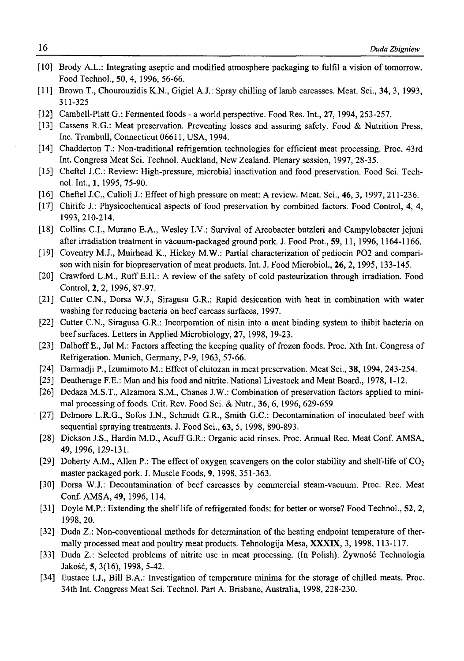- [10] Brody A.L.: Integrating aseptic and modified atmosphere packaging to fulfil a vision of tomorrow. **Food Technol., 50, 4, 1996, 56-66.**
- [11] Brown T., Chourouzidis K.N., Gigiel A.J.: Spray chilling of lamb carcasses. Meat. Sci., 34, 3, 1993, **311-325**
- **[12] Cambell-Platt G.: Fermented foods a world perspective. Food Res. Int., 27, 1994, 253-257.**
- **[13] Cassens R.G.: Meat preservation. Preventing losses and assuring safety. Food & Nutrition Press, Inc. Trumbull, Connecticut 06611, USA, 1994.**
- **[14] Chadderton T.: Non-traditional refrigeration technologies for efficient meat processing. Proc. 43rd Int. Congress Meat Sci. Technol. Auckland, New Zealand. Plenary session, 1997, 28-35.**
- **[15] Cheftel J.C.: Review: High-pressure, microbial inactivation and food preservation. Food Sci. Technol. Int., 1, 1995, 75-90.**
- [16] Cheftel J.C., Culioli J.: Effect of high pressure on meat: A review. Meat. Sci., **46**, 3, 1997, 211-236.
- [17] Chirife J.: Physicochemical aspects of food preservation by combined factors. Food Control, 4, 4, **1993,210-214.**
- [18] Collins C.I., Murano E.A., Wesley I.V.: Survival of Arcobacter butzleri and Campylobacter jejuni **after irradiation treatment in vacuum-packaged ground pork. J. Food Prot., 59, 11,1996, 1164-1166.**
- [19] Coventry M.J., Muirhead K., Hickey M.W.: Partial characterization of pediocin PO2 and comparison with nisin for biopreservation of meat products. Int. J. Food Microbiol., 26, 2, 1995, 133-145.
- [20] Crawford L.M., Ruff E.H.: A review of the safety of cold pasteurization through irradiation. Food **Control, 2, 2, 1996, 87-97.**
- **[21] Cutter C.N., Dorsa W.J., Siragusa G.R.: Rapid desiccation with heat in combination with water washing for reducing bacteria on beef carcass surfaces, 1997.**
- [22] Cutter C.N., Siragusa G.R.: Incorporation of nisin into a meat binding system to ihibit bacteria on **beef surfaces. Letters in Applied Microbiology, 27, 1998, 19-23.**
- [23] Dalhoff E., Jul M.: Factors affecting the keeping quality of frozen foods. Proc. Xth Int. Congress of **Refrigeration. Munich, Germany, P-9, 1963, 57-66.**
- [24] Darmadji P., Izumimoto M.: Effect of chitozan in meat preservation. Meat Sci., 38, 1994, 243-254.
- **[25] Deatherage F.E.: Man and his food and nitrite. National Livestock and Meat Board., 1978, 1-12.**
- [26] Dedaza M.S.T., Alzamora S.M., Chanes J.W.: Combination of preservation factors applied to minimal processing of foods. Crit. Rev. Food Sci. & Nutr., 36, 6, 1996, 629-659.
- [27] Delmore L.R.G., Sofos J.N., Schmidt G.R., Smith G.C.: Decontamination of inoculated beef with **sequential spraying treatments. J. Food Sci., 63, 5, 1998, 890-893.**
- **[28] Dickson J.S., Hardin M.D., Acuff G.R.: Organic acid rinses. Proc. Annual Rec. Meat Conf. AMSA, 49, 1996, 129-131.**
- [29] Doherty A.M., Allen P.: The effect of oxygen scavengers on the color stability and shelf-life of  $CO<sub>2</sub>$ **master packaged pork. J. Muscle Foods, 9, 1998, 351-363.**
- **[30] Dorsa W.J.: Decontamination of beef carcasses by commercial steam-vacuum. Proc. Rec. Meat Conf. AMSA, 49, 1996, 114.**
- **[31 ] Doyle M.P.: Extending the shelf life of refrigerated foods: for better or worse? Food Technol., 52, 2, 1998, 20.**
- [32] Duda Z.: Non-conventional methods for determination of the heating endpoint temperature of ther**mally processed meat and poultry meat products. Tehnologija Mesa, XXXIX, 3, 1998, 113-117.**
- [33] Duda Z.: Selected problems of nitrite use in meat processing. (In Polish). Żywność Technologia **Jakość, 5, 3(16), 1998, 5-42.**
- [34] Eustace I.J., Bill B.A.: Investigation of temperature minima for the storage of chilled meats. Proc. **34th Int. Congress Meat Sci. Technol. Part A. Brisbane, Australia, 1998, 228-230.**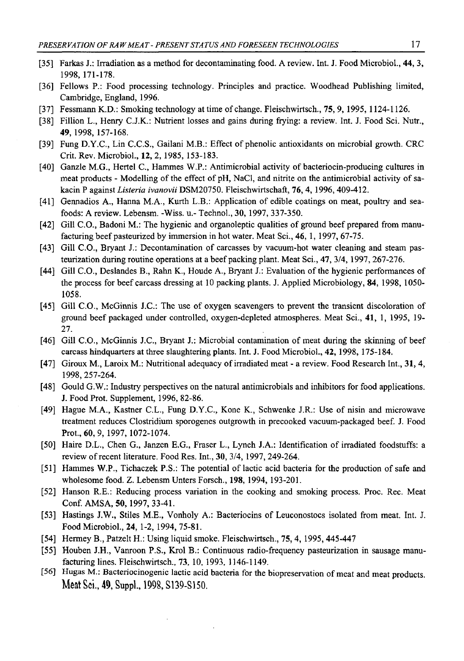- **[35] Farkas J.: Irradiation as a method for decontaminating food. A review. Int. J. Food Microbiol., 44, 3, 1998, 171-178.**
- **[36] Fellows P.: Food processing technology. Principles and practice. Woodhead Publishing limited, Cambridge, England, 1996.**
- **[37] Fessmann K.D.: Smoking technology at time of change. Fleischwirtsch., 75, 9, 1995, 1124-1126.**
- **[38] Fillion L., Henry C.J.K.: Nutrient losses and gains during frying: a review. Int. J. Food Sci. Nutr., 49, 1998, 157-168.**
- [39] Fung D.Y.C., Lin C.C.S., Gailani M.B.: Effect of phenolic antioxidants on microbial growth. CRC **Crit. Rev. Microbiol., 12, 2, 1985, 153-183.**
- [40] Ganzle M.G., Hertel C., Hammes W.P.: Antimicrobial activity of bacteriocin-producing cultures in meat products - Modelling of the effect of pH, NaCl, and nitrite on the antimicrobial activity of sa**kacin P against** *Listeria ivanovii* **DSM20750. Fleischwirtschaft, 7 6 ,4, 1996,409-412.**
- [41] Gennadios A., Hanna M.A., Kurth L.B.: Application of edible coatings on meat, poultry and sea**foods: A review. Lebensm. -Wiss. u.- Technol., 30, 1997, 337-350.**
- [42] Gill C.O., Badoni M.: The hygienic and organoleptic qualities of ground beef prepared from manu**facturing beef pasteurized by immersion in hot water. Meat Sci., 46, 1, 1997, 67-75.**
- [43] Gill C.O., Bryant J.: Decontamination of carcasses by vacuum-hot water cleaning and steam pas**teurization during routine operations at a beef packing plant. Meat Sci., 47, 3/4, 1997, 267-276.**
- [44] Gill C.O., Deslandes B., Rahn K., Houde A., Bryant J.: Evaluation of the hygienic performances of **the process for beef carcass dressing at 10 packing plants. J. Applied Microbiology, 84, 1998, 1050- 1058.**
- [45] Gill C.O., McGinnis J.C.: The use of oxygen scavengers to prevent the transient discoloration of **ground beef packaged under controlled, oxygen-depleted atmospheres. Meat Sci., 41, 1, 1995, 19- 27.**
- [46] Gill C.O., McGinnis J.C., Bryant J.: Microbial contamination of meat during the skinning of beef **carcass hindquarters at three slaughtering plants. Int. J. Food Microbiol., 42, 1998, 175-184.**
- [47] Giroux M., Laroix M.: Nutritional adequacy of irradiated meat a review. Food Research Int., 31, 4, **1998, 257-264.**
- **[48] Gould G.W.: Industry perspectives on the natural antimicrobials and inhibitors for food applications. J. Food Prot. Supplement, 1996, 82-86.**
- [49] Hague M.A., Kastner C.L., Fung D.Y.C., Kone K., Schwenke J.R.: Use of nisin and microwave **treatment reduces Clostridium sporogenes outgrowth in precooked vacuum-packaged beef. J. Food Prot., 60, 9, 1997, 1072-1074.**
- [50] Haire D.L., Chen G., Janzen E.G., Fraser L., Lynch J.A.: Identification of irradiated foodstuffs: a review of recent literature. Food Res. Int., 30, 3/4, 1997, 249-264.
- [51] Hammes W.P., Tichaczek P.S.: The potential of lactic acid bacteria for the production of safe and **wholesome food. Z. Lebensm Unters Forsch., 198, 1994, 193-201.**
- **[52] Hanson R.E.: Reducing process variation in the cooking and smoking process. Proc. Rec. Meat Conf. AMS A, 50, 1997, 33-41.**
- [53] Hastings J.W., Stiles M.E., Vonholy A.: Bacteriocins of Leuconostocs isolated from meat. Int. J. **Food M icrobiol, 24, 1-2, 1994, 75-81.**
- [54] Hermey B., Patzelt H.: Using liquid smoke. Fleischwirtsch., 75, 4, 1995, 445-447
- **[55] Houben J.H., Vanroon P.S., Kroi B.: Continuous radio-frequency pasteurization in sausage manufacturing lines. Fleischwirtsch., 73, 10,1993, 1146-1149.**
- [56] Hugas M.: Bacteriocinogenic lactic acid bacteria for the biopreservation of meat and meat products. **Meat Sci., 49, Suppl., 1998, S139-S150.**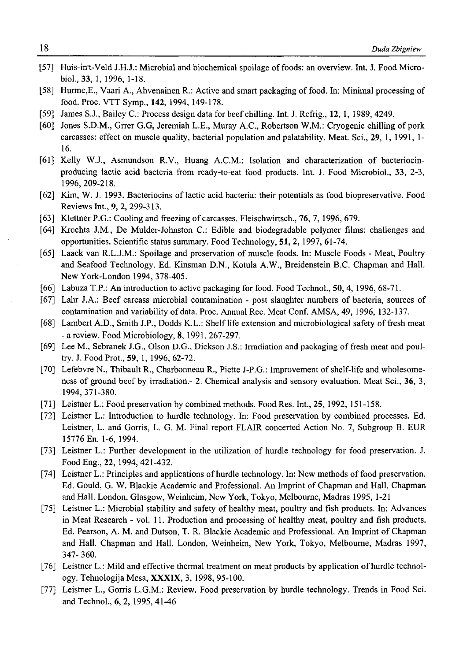- [57] Huis-in't-Veld J.H.J.: Microbial and biochemical spoilage of foods: an overview. Int. J. Food Micro**biol., 33, 1, 1996, 1-18.**
- [58] Hurme, E., Vaari A., Ahvenainen R.: Active and smart packaging of food. In: Minimal processing of **food. Proc. VTT Symp., 142, 1994, 149-178.**
- **[59] James S.J., Bailey C.: Process design data for beef chilling. Int. J. Refrig., 12, 1, 1989, 4249.**
- [60] Jones S.D.M., Grrer G.G, Jeremiah L.E., Muray A.C., Robertson W.M.: Cryogenic chilling of pork **carcasses: effect on muscle quality, bacterial population and palatability. Meat. Sci., 29, 1, 1991, 1- 16.**
- [61] Kelly W.J., Asmundson R.V., Huang A.C.M.: Isolation and characterization of bacteriocin**producing lactic acid bacteria from ready-to-eat food products. Int. J. Food Microbiol., 33, 2-3, 1996, 209-218.**
- [62] Kim, W. J. 1993. Bacteriocins of lactic acid bacteria: their potentials as food biopreservative. Food **Reviews Int., 9, 2, 299-313.**
- [63] Klettner P.G.: Cooling and freezing of carcasses. Fleischwirtsch., **76**, 7, 1996, 679.
- **[64] Krochta J.M., De Mulder-Johnston C.: Edible and biodegradable polymer films: challenges and opportunities. Scientific status summary. Food Technology, 51, 2, 1997, 61-74.**
- [65] Laack van R.L.J.M.: Spoilage and preservation of muscle foods. In: Muscle Foods Meat, Poultry **and Seafood Technology. Ed. Kinsman D.N., Kotula A.W., Breidenstein B.C. Chapman and Hall. New York-London 1994, 378-405.**
- **[66] Labuza T.P.: An introduction to active packaging for food. Food Technol., 50, 4, 1996, 68-71.**
- [67] Lahr J.A.: Beef carcass microbial contamination post slaughter numbers of bacteria, sources of contamination and variability of data. Proc. Annual Rec. Meat Conf. AMSA, 49, 1996, 132-137.
- [68] Lambert A.D., Smith J.P., Dodds K.L.: Shelf life extension and microbiological safety of fresh meat **- a review. Food Microbiology, 8,1991, 267-297.**
- [69] Lee M., Sebranek J.G., Olson D.G., Dickson J.S.: Irradiation and packaging of fresh meat and poul**try. J. Food Prot., 59, 1, 1996, 62-72.**
- [70] Lefebvre N., Thibault R., Charbonneau R., Piette J-P.G.: Improvement of shelf-life and wholesomeness of ground beef by irradiation.- 2. Chemical analysis and sensory evaluation. Meat Sci., 36, 3, **1994, 371-380.**
- **[71] Leistner L.: Food preservation by combined methods. Food Res. Int., 25, 1992, 151-158.**
- **[72] Leistner L.: Introduction to hurdle technology. In: Food preservation by combined processes. Ed. Leistner, L. and Gorris, L. G. M. Final report FLAIR concerted Action No. 7, Subgroup B. EUR 15776 En. 1-6, 1994.**
- **[73] Leistner L.: Further development in the utilization of hurdle technology for food preservation. J. Food Eng., 22, 1994, 421-432.**
- [74] Leistner L.: Principles and applications of hurdle technology. In: New methods of food preservation. Ed. Gould, G. W. Blackie Academic and Professional. An Imprint of Chapman and Hall. Chapman **and Hall. London, Glasgow, Weinheim, New York, Tokyo, Melbourne, Madras 1995, 1-21**
- [75] Leistner L.: Microbial stability and safety of healthy meat, poultry and fish products. In: Advances **in Meat Research - vol. 11. Production and processing of healthy meat, poultry and fish products.** Ed. Pearson, A. M. and Dutson, T. R. Blackie Academic and Professional. An Imprint of Chapman **and Hall. Chapman and Hall. London, Weinheim, New York, Tokyo, Melbourne, Madras 1997, 347-360.**
- [76] Leistner L.: Mild and effective thermal treatment on meat products by application of hurdle technol**ogy. Tehnologija Mesa, XXXIX, 3,1998, 95-100.**
- **[77] Leistner L., Gorris L.G.M.: Review. Food preservation by hurdle technology. Trends in Food Sci. and Technol., 6, 2, 1995, 41-46**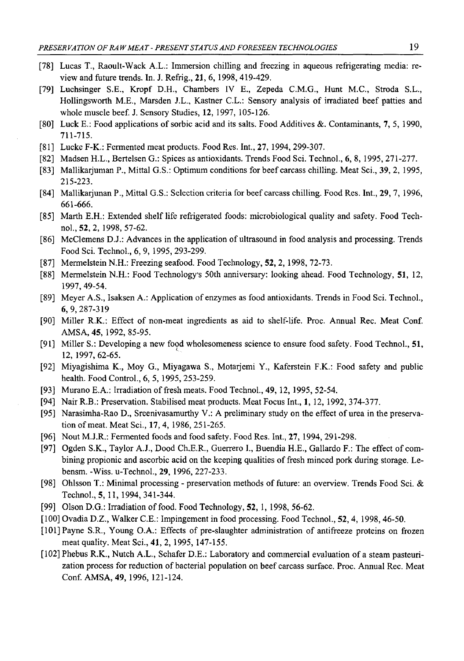- **[78] Lucas T., Raoult-Wack A.L.: Immersion chilling and freezing in aqueous refrigerating media: review and future trends. In. J. Refrig., 21, 6, 1998,419-429.**
- **[79] Luchsinger S.E., Kropf D.H., Chambers IV E., Zepeda C.M.G., Hunt M.C., Stroda S.L.,** Hollingsworth M.E., Marsden J.L., Kastner C.L.: Sensory analysis of irradiated beef patties and **whole muscle beef. J. Sensory Studies, 12, 1997, 105-126.**
- [80] Luck E.: Food applications of sorbic acid and its salts. Food Additives &. Contaminants, 7, 5, 1990, **711-715.**
- **[81] Lucke F-K.: Fermented meat products. Food Res. Int., 27, 1994, 299-307.**
- **[82] Madsen H.L., Bertelsen G.: Spices as antioxidants. Trends Food Sci. Technol., 6, 8, 1995, 271-277.**
- **[83] Mallikarjuman P., Mittal G.S.: Optimum conditions for beef carcass chilling. Meat Sci., 39, 2, 1995, 215-223.**
- **[84] Mallikarjunan P., Mittal G.S.: Selection criteria for beef carcass chilling. Food Res. Int., 29, 7, 1996, 661-666.**
- **[85] Marth E.H.: Extended shelf life refrigerated foods: microbiological quality and safety. Food Technol., 52, 2, 1998, 57-62.**
- [86] McClemens D.J.: Advances in the application of ultrasound in food analysis and processing. Trends **Food Sci. Technol., 6, 9, 1995, 293-299.**
- **[87] Mermelstein N.H.: Freezing seafood. Food Technology, 52, 2, 1998, 72-73.**
- **[88] Mermelstein N.H.: Food Technology's 50th anniversary: looking ahead. Food Technology, 51, 12, 1997, 49-54.**
- [89] Meyer A.S., Isaksen A.: Application of enzymes as food antioxidants. Trends in Food Sci. Technol., **6, 9, 287-319**
- [90] Miller R.K.: Effect of non-meat ingredients as aid to shelf-life. Proc. Annual Rec. Meat Conf. **AMSA, 45, 1992, 85-95.**
- **[91] Miller S.: Developing a new food wholesomeness science to ensure food safety. Food Technol., 51, 12, 1997, 62-65.**
- **[92] Miyagishima K., Moy G., Miyagawa S., Motarjemi Y., Kaferstein F.K.: Food safety and public health. Food Control., 6, 5,1995,253-259.**
- [93] Murano E.A.: Irradiation of fresh meats. Food Technol., **49**, 12, 1995, 52-54.
- **[94] Nair R.B.: Preservation. Stabilised meat products. Meat Focus Int., 1, 12, 1992, 374-377.**
- [95] Narasimha-Rao D., Sreenivasamurthy V.: A preliminary study on the effect of urea in the preservation of meat. Meat Sci., **17**, 4, 1986, 251-265.
- **[96] Nout M.J.R.: Fermented foods and food safety. Food Res. Int., 27, 1994, 291-298.**
- [97] Ogden S.K., Taylor A.J., Dood Ch.E.R., Guerrero I., Buendia H.E., Gallardo F.: The effect of com**bining propionic and ascorbic acid on the keeping qualities of fresh minced pork during storage. Lebensm. -Wiss. u-Technol., 29, 1996, 227-233.**
- **[98] Ohlsson T.: Minimal processing preservation methods of future: an overview. Trends Food Sci. & Technol., 5, 11,1994, 341-344.**
- [99] Olson D.G.: Irradiation of food. Food Technology, **52**, 1, 1998, 56-62.
- **[100] Ovadia D.Z., Walker C.E.: Impingement in food processing. Food Technol., 5 2 ,4, 1998,46-50.**
- [101] Payne S.R., Young O.A.: Effects of pre-slaughter administration of antifreeze proteins on frozen **meat quality. Meat Sci., 41, 2, 1995, 147-155.**
- **[102] Phebus R.K., Nutch A.L., Schafer D.E.: Laboratory and commercial evaluation of a steam pasteuri**zation process for reduction of bacterial population on beef carcass surface. Proc. Annual Rec. Meat **Conf. AMSA, 49, 1996, 121-124.**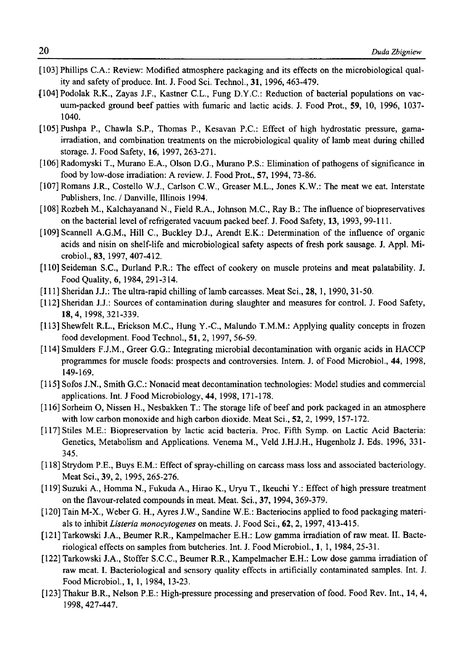- **[103] Phillips C.A.: Review: Modified atmosphere packaging and its effects on the microbiological qual**ity and safety of produce. Int. J. Food Sci. Technol., 31, 1996, 463-479.
- [104] Podolak R.K., Zayas J.F., Kastner C.L., Fung D.Y.C.: Reduction of bacterial populations on vac**uum-packed ground beef patties with fumaric and lactic acids. J. Food Prot., 59, 10, 1996, 1037- 1040.**
- [105] Pushpa P., Chawla S.P., Thomas P., Kesavan P.C.: Effect of high hydrostatic pressure, gama**irradiation, and combination treatments on the microbiological quality of lamb meat during chilled storage. J. Food Safety, 16, 1997, 263-271.**
- [106] Radomyski T., Murano E.A., Olson D.G., Murano P.S.: Elimination of pathogens of significance in **food by low-dose irradiation: A review. J. Food Prot., 57, 1994, 73-86.**
- **[107] Romans J.R., Costello W.J., Carlson C.W., Greaser M.L., Jones K.W.: The meat we eat. Interstate Publishers, Inc. / Danville, Illinois 1994.**
- [108] Rozbeh M., Kalchayanand N., Field R.A., Johnson M.C., Ray B.: The influence of biopreservatives on the bacterial level of refrigerated vacuum packed beef. J. Food Safety, 13, 1993, 99-111.
- [109] Scannell A.G.M., Hill C., Buckley D.J., Arendt E.K.: Determination of the influence of organic acids and nisin on shelf-life and microbiological safety aspects of fresh pork sausage. J. Appl. Mi**crobiol., 83, 1997, 407-412.**
- [110] Seideman S.C., Durland P.R.: The effect of cookery on muscle proteins and meat palatability. J. **Food Quality, 6, 1984, 291-314.**
- $[111]$  Sheridan J.J.: The ultra-rapid chilling of lamb carcasses. Meat Sci., 28, 1, 1990, 31-50.
- [112] Sheridan J.J.: Sources of contamination during slaughter and measures for control. J. Food Safety, **18,4, 1998, 321-339.**
- **[113] Shewfelt R.L., Erickson M.C., Hung Y.-C., Malundo T.M.M.: Applying quality concepts in frozen food development. Food Technol., 51, 2, 1997, 56-59.**
- **[114] Smulders F.J.M., Greer G.G.: Integrating microbial decontamination with organic acids in HACCP** programmes for muscle foods: prospects and controversies. Intern. J. of Food Microbiol., 44, 1998, **149-169.**
- **[115] Sofos J.N., Smith G.C.: Nonacid meat decontamination technologies: Model studies and commercial applications. Int. J Food Microbiology, 44, 1998, 171-178.**
- [116] Sorheim O, Nissen H., Nesbakken T.: The storage life of beef and pork packaged in an atmosphere **with low carbon monoxide and high carbon dioxide. Meat Sci., 52, 2, 1999, 157-172.**
- **[117] Stiles M.E.: Biopreservation by lactic acid bacteria. Proc. Fifth Symp. on Lactic Acid Bacteria: Genetics, Metabolism and Applications. Venema M., Veld J.H.J.H., Hugenholz J. Eds. 1996, 331- 345.**
- [118] Strydom P.E., Buys E.M.: Effect of spray-chilling on carcass mass loss and associated bacteriology. **Meat Sci., 39, 2, 1995, 265-276.**
- **[119] Suzuki A., Homma N., Fukuda A., Hirao K., Uryu T., Ikeuchi Y.: Effect of high pressure treatment** on the flavour-related compounds in meat. Meat. Sci., 37, 1994, 369-379.
- **[120] Tain M-X., Weber G. H., Ayres J.W., Sandine W.E.: Bacteriocins applied to food packaging materials to inhibit** *Listeria monocytogenes* **on meats. J. Food Sci., 62, 2,1997, 413-415.**
- [121] Tarkowski J.A., Beumer R.R., Kampelmacher E.H.: Low gamma irradiation of raw meat. II. Bacte**riological effects on samples from butcheries. Int. J. Food Microbiol., 1, 1,1984,25-31.**
- **[122] Tarkowski J.A., Stoffer S.C.C., Beumer R.R., Kampelmacher E.H.: Low dose gamma irradiation of raw meat. I. Bacteriological and sensory quality effects in artificially contaminated samples. Int. J. Food Microbiol., 1, 1, 1984, 13-23.**
- [123] Thakur B.R., Nelson P.E.: High-pressure processing and preservation of food. Food Rev. Int., 14, 4, **1998, 427-447.**